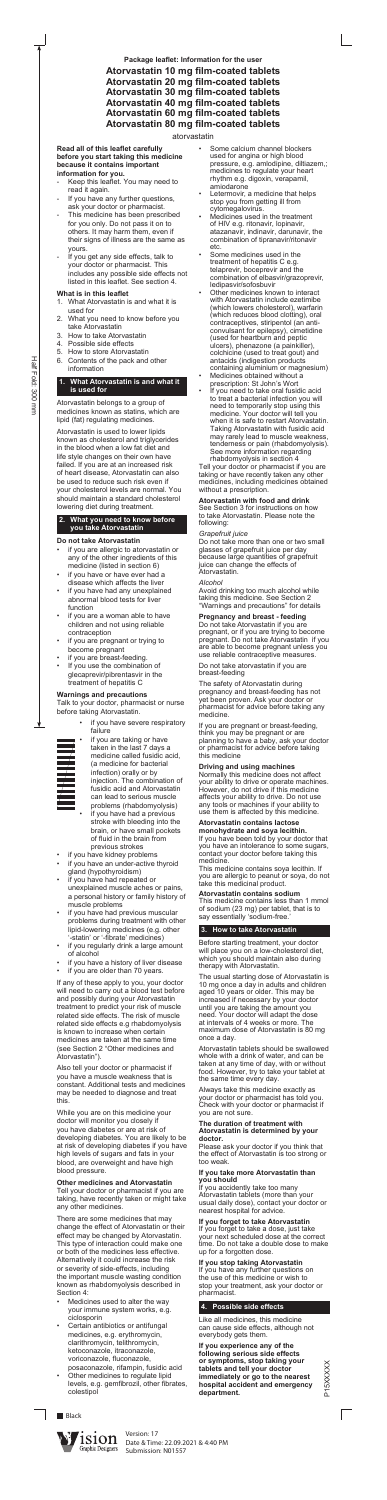#### **Read all of this leaflet carefully before you start taking this medicine because it contains important information for you.**

- Keep this leaflet. You may need to read it again.
- If you have any further questions, ask your doctor or pharmacist.
- This medicine has been prescribed for you only. Do not pass it on to others. It may harm them, even if their signs of illness are the same as yours.
- If you get any side effects, talk to your doctor or pharmacist. This includes any possible side effects not listed in this leaflet. See section 4.

## **What is in this leaflet**

- 1. What Atorvastatin is and what it is used for
- 2. What you need to know before you take Atorvastatin
- 3. How to take Atorvastatin
- 4. Possible side effects
- 5. How to store Atorvastatin
- 6. Contents of the pack and other information

## **1. What Atorvastatin is and what it is used for**

Atorvastatin belongs to a group of medicines known as statins, which are lipid (fat) regulating medicines.

- if you are allergic to atorvastatin or any of the other ingredients of this medicine (listed in section 6)
- if you have or have ever had a disease which affects the liver
- if you have had any unexplained abnormal blood tests for liver function
- if you are a woman able to have children and not using reliable contraception
- if you are pregnant or trying to become pregnant
- if you are breast-feeding.
- If you use the combination of glecaprevir/pibrentasvir in the treatment of hepatitis C

- $\mathbf{v}$
- if you have severe respiratory failure



Atorvastatin is used to lower lipids known as cholesterol and triglycerides in the blood when a low fat diet and life style changes on their own have failed. If you are at an increased risk of heart disease, Atorvastatin can also be used to reduce such risk even if your cholesterol levels are normal. You should maintain a standard cholesterol lowering diet during treatment.

> if you are taking or have taken in the last 7 days a medicine called fusidic acid, (a medicine for bacterial infection) orally or by injection. The combination of fusidic acid and Atorvastatin can lead to serious muscle problems (rhabdomyolysis)

if you have had a previous stroke with bleeding into the brain, or have small pockets of fluid in the brain from previous strokes

- if you have kidney problems
- if you have an under-active thyroid gland (hypothyroidism)
- if you have had repeated or unexplained muscle aches or pains, a personal history or family history of muscle problems
- if you have had previous muscular problems during treatment with other lipid-lowering medicines (e.g. other '-statin' or '-fibrate' medicines)
- if you regularly drink a large amount of alcohol
- if you have a history of liver disease
- if you are older than 70 years.

## **2. What you need to know before you take Atorvastatin**

## **Do not take Atorvastatin**

## **Warnings and precautions**

Talk to your doctor, pharmacist or nurse before taking Atorvastatin.

- Medicines used to alter the way your immune system works, e.g. ciclosporin
- Certain antibiotics or antifungal medicines, e.g. erythromycin, clarithromycin, telithromycin, ketoconazole, itraconazole, voriconazole, fluconazole,
- posaconazole, rifampin, fusidic acid Other medicines to regulate lipid levels, e.g. gemfibrozil, other fibrates, colestipol
- Some calcium channel blockers used for angina or high blood pressure, e.g. amlodipine, diltiazem,; medicines to regulate your heart rhythm e.g. digoxin, verapamil, amiodarone
- Letermovir, a medicine that helps stop you from getting ill from cytomegalovirus.
- Medicines used in the treatment of HIV e.g. ritonavir, lopinavir, atazanavir, indinavir, darunavir, the combination of tipranavir/ritonavir etc.
- Some medicines used in the treatment of hepatitis C e.g. telaprevir, boceprevir and the combination of elbasvir/grazoprevir, ledipasvir/sofosbuvir
- Other medicines known to interact with Atorvastatin include ezetimibe (which lowers cholesterol), warfarin (which reduces blood clotting), oral contraceptives, stiripentol (an anticonvulsant for epilepsy), cimetidine (used for heartburn and peptic ulcers), phenazone (a painkiller), colchicine (used to treat gout) and antacids (indigestion products containing aluminium or magnesium)
- Medicines obtained without a prescription: St John's Wort
- If you need to take oral fusidic acid to treat a bacterial infection you will need to temporarily stop using this medicine. Your doctor will tell you when it is safe to restart Atorvastatin. Taking Atorvastatin with fusidic acid may rarely lead to muscle weakness, tenderness or pain (rhabdomyolysis). See more information regarding rhabdomyolysis in section 4

If any of these apply to you, your doctor will need to carry out a blood test before and possibly during your Atorvastatin treatment to predict your risk of muscle related side effects. The risk of muscle related side effects e.g rhabdomyolysis is known to increase when certain medicines are taken at the same time (see Section 2 "Other medicines and Atorvastatin").

Also tell your doctor or pharmacist if you have a muscle weakness that is constant. Additional tests and medicines may be needed to diagnose and treat this.

While you are on this medicine your doctor will monitor you closely if you have diabetes or are at risk of developing diabetes. You are likely to be at risk of developing diabetes if you have high levels of sugars and fats in your blood, are overweight and have high blood pressure.

## **Other medicines and Atorvastatin**

Tell your doctor or pharmacist if you are taking, have recently taken or might take any other medicines.

This medicine contains less than 1 mmol of sodium (23 mg) per tablet, that is to say essentially 'sodium-free.

There are some medicines that may change the effect of Atorvastatin or their effect may be changed by Atorvastatin. This type of interaction could make one or both of the medicines less effective. Alternatively it could increase the risk or severity of side-effects, including the important muscle wasting condition known as rhabdomyolysis described in Section 4:

> P15XXXXX P15XXXXX

Tell your doctor or pharmacist if you are taking or have recently taken any other medicines, including medicines obtained without a prescription.

#### **Atorvastatin with food and drink** See Section 3 for instructions on how to take Atorvastatin. Please note the following:

## *Grapefruit juice*

Do not take more than one or two small glasses of grapefruit juice per day because large quantities of grapefruit juice can change the effects of Atorvastatin.

## *Alcohol*

Avoid drinking too much alcohol while taking this medicine. See Section 2 "Warnings and precautions" for details

# **Pregnancy and breast - feeding**

Do not take Atorvastatin if you are pregnant, or if you are trying to become pregnant. Do not take Atorvastatin if you are able to become pregnant unless you use reliable contraceptive measures.

Do not take atorvastatin if you are breast-feeding

The safety of Atorvastatin during pregnancy and breast-feeding has not yet been proven. Ask your doctor or pharmacist for advice before taking any medicine.

If you are pregnant or breast-feeding, think you may be pregnant or are planning to have a baby, ask your doctor or pharmacist for advice before taking this medicine

## **Driving and using machines**

Normally this medicine does not affect your ability to drive or operate machines. However, do not drive if this medicine affects your ability to drive. Do not use any tools or machines if your ability to use them is affected by this medicine.

## **Atorvastatin contains lactose**

**monohydrate and soya lecithin.** If you have been told by your doctor that you have an intolerance to some sugars, contact your doctor before taking this medicine.

This medicine contains soya lecithin. If you are allergic to peanut or soya, do not take this medicinal product.

#### **Atorvastatin contains sodium**

## **3. How to take Atorvastatin**

Before starting treatment, your doctor will place you on a low-cholesterol diet, which you should maintain also during therapy with Atorvastatin.

The usual starting dose of Atorvastatin is 10 mg once a day in adults and children aged 10 years or older. This may be increased if necessary by your doctor until you are taking the amount you need. Your doctor will adapt the dose at intervals of 4 weeks or more. The maximum dose of Atorvastatin is 80 mg once a day.

Atorvastatin tablets should be swallowed whole with a drink of water, and can be taken at any time of day, with or without food. However, try to take your tablet at the same time every day.

Always take this medicine exactly as your doctor or pharmacist has told you. Check with your doctor or pharmacist if you are not sure.

#### **The duration of treatment with Atorvastatin is determined by your doctor.**

Please ask your doctor if you think that the effect of Atorvastatin is too strong or too weak.

#### **If you take more Atorvastatin than you should**

If you accidently take too many Atorvastatin tablets (more than your usual daily dose), contact your doctor or nearest hospital for advice.

## **If you forget to take Atorvastatin**

If you forget to take a dose, just take your next scheduled dose at the correct time. Do not take a double dose to make up for a forgotten dose.

#### **If you stop taking Atorvastatin**

If you have any further questions on the use of this medicine or wish to stop your treatment, ask your doctor or pharmacist.

## **4. Possible side effects**

Like all medicines, this medicine can cause side effects, although not everybody gets them.

**If you experience any of the following serious side effects or symptoms, stop taking your tablets and tell your doctor immediately or go to the nearest hospital accident and emergency department.**

**Package leaflet: Information for the user**

# **Atorvastatin 10 mg film-coated tablets Atorvastatin 20 mg film-coated tablets Atorvastatin 30 mg film-coated tablets Atorvastatin 40 mg film-coated tablets Atorvastatin 60 mg film-coated tablets Atorvastatin 80 mg film-coated tablets**

atorvastatin





Version: 17 Date & Time: 22.09.2021 & 4:40 PM